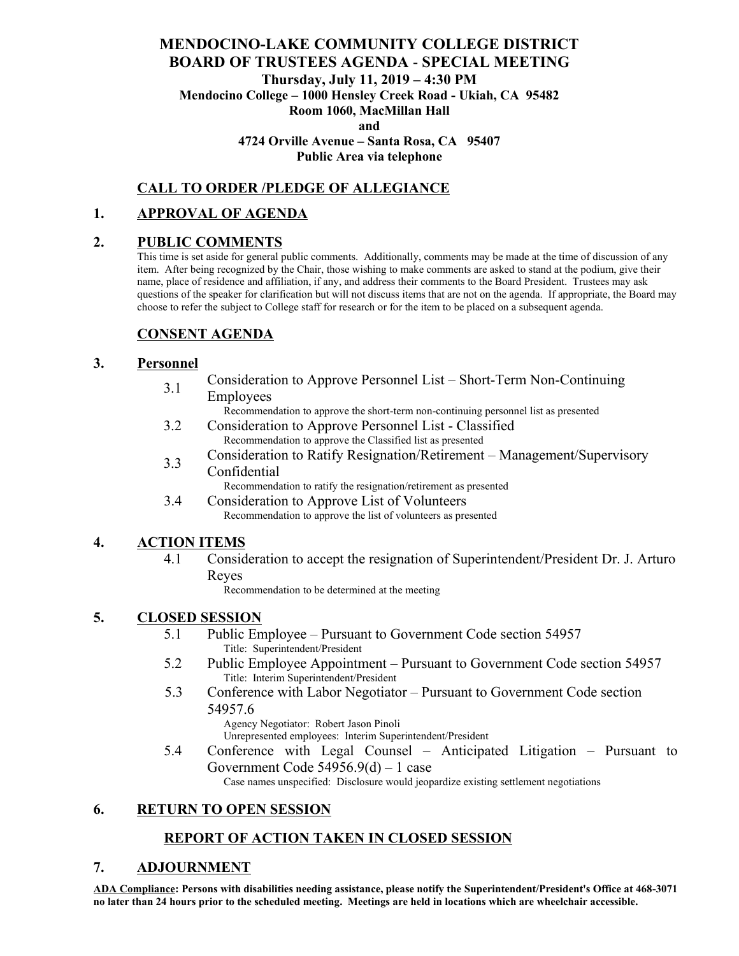# **MENDOCINO-LAKE COMMUNITY COLLEGE DISTRICT BOARD OF TRUSTEES AGENDA** - **SPECIAL MEETING Thursday, July 11, 2019 – 4:30 PM Mendocino College – 1000 Hensley Creek Road - Ukiah, CA 95482 Room 1060, MacMillan Hall**

**and**

**4724 Orville Avenue – Santa Rosa, CA 95407**

#### **Public Area via telephone**

#### **CALL TO ORDER /PLEDGE OF ALLEGIANCE**

#### **1. APPROVAL OF AGENDA**

#### **2. PUBLIC COMMENTS**

This time is set aside for general public comments. Additionally, comments may be made at the time of discussion of any item. After being recognized by the Chair, those wishing to make comments are asked to stand at the podium, give their name, place of residence and affiliation, if any, and address their comments to the Board President. Trustees may ask questions of the speaker for clarification but will not discuss items that are not on the agenda. If appropriate, the Board may choose to refer the subject to College staff for research or for the item to be placed on a subsequent agenda.

## **CONSENT AGENDA**

#### **3. Personnel**

3.1 Consideration to Approve Personnel List – Short-Term Non-Continuing Employees

Recommendation to approve the short-term non-continuing personnel list as presented

- 3.2 Consideration to Approve Personnel List Classified Recommendation to approve the Classified list as presented
- 3.3 Consideration to Ratify Resignation/Retirement – Management/Supervisory Confidential

Recommendation to ratify the resignation/retirement as presented

3.4 Consideration to Approve List of Volunteers Recommendation to approve the list of volunteers as presented

## **4. ACTION ITEMS**

4.1 Consideration to accept the resignation of Superintendent/President Dr. J. Arturo Reyes

Recommendation to be determined at the meeting

## **5. CLOSED SESSION**

- 5.1 Public Employee Pursuant to Government Code section 54957 Title: Superintendent/President
- 5.2 Public Employee Appointment Pursuant to Government Code section 54957 Title: Interim Superintendent/President
- 5.3 Conference with Labor Negotiator Pursuant to Government Code section 54957.6

Agency Negotiator: Robert Jason Pinoli

Unrepresented employees: Interim Superintendent/President

5.4 Conference with Legal Counsel – Anticipated Litigation – Pursuant to Government Code 54956.9(d) – 1 case

Case names unspecified: Disclosure would jeopardize existing settlement negotiations

# **6. RETURN TO OPEN SESSION**

## **REPORT OF ACTION TAKEN IN CLOSED SESSION**

## **7. ADJOURNMENT**

**ADA Compliance: Persons with disabilities needing assistance, please notify the Superintendent/President's Office at 468-3071 no later than 24 hours prior to the scheduled meeting. Meetings are held in locations which are wheelchair accessible.**